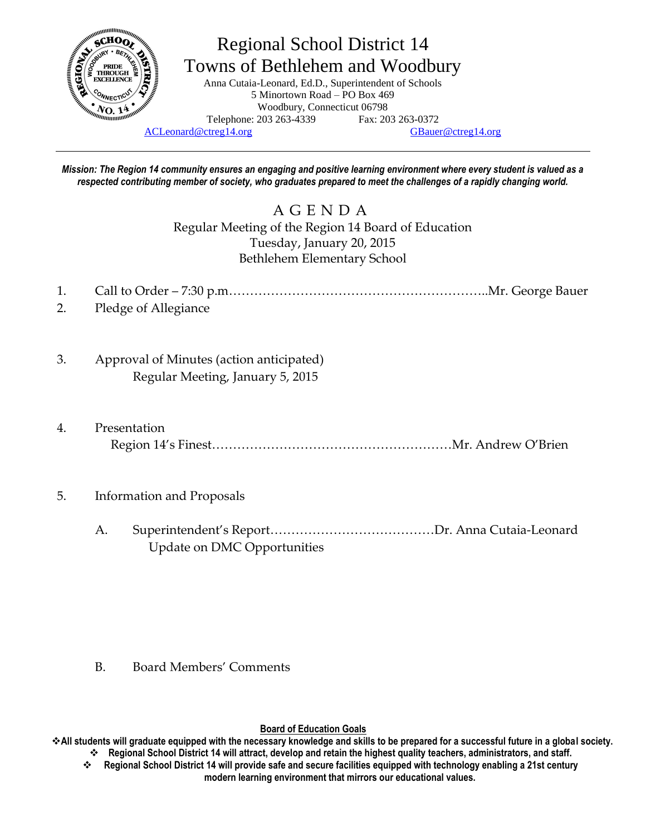

# Regional School District 14 Towns of Bethlehem and Woodbury

Anna Cutaia-Leonard, Ed.D., Superintendent of Schools 5 Minortown Road – PO Box 469 Woodbury, Connecticut 06798 Telephone: 203 263-4339 Fax: 203 263-0372

[ACLeonard@ctreg14.org](mailto:ACLeonard@ctreg14.org) [GBauer@ctreg14.org](mailto:GBauer@ctreg14.org)

*Mission: The Region 14 community ensures an engaging and positive learning environment where every student is valued as a respected contributing member of society, who graduates prepared to meet the challenges of a rapidly changing world.*

> A G E N D A Regular Meeting of the Region 14 Board of Education Tuesday, January 20, 2015 Bethlehem Elementary School

- 1. Call to Order 7:30 p.m……………………………………………………..Mr. George Bauer
- 2. Pledge of Allegiance
- 3. Approval of Minutes (action anticipated) Regular Meeting, January 5, 2015
- 4. Presentation Region 14's Finest…………………………………………………Mr. Andrew O'Brien
- 5. Information and Proposals
	- A. Superintendent's Report…………………………………Dr. Anna Cutaia-Leonard Update on DMC Opportunities

B. Board Members' Comments

**Board of Education Goals**

**All students will graduate equipped with the necessary knowledge and skills to be prepared for a successful future in a global society. Regional School District 14 will attract, develop and retain the highest quality teachers, administrators, and staff.**

 **Regional School District 14 will provide safe and secure facilities equipped with technology enabling a 21st century modern learning environment that mirrors our educational values.**